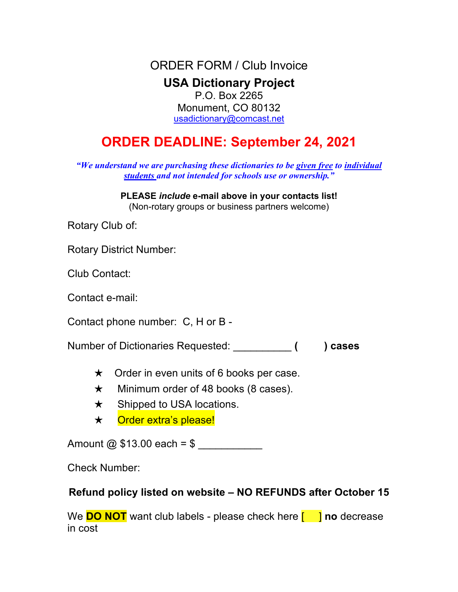ORDER FORM / Club Invoice **USA Dictionary Project** P.O. Box 2265 Monument, CO 80132 usadictionary@comcast.net

## **ORDER DEADLINE: September 24, 2021**

*"We understand we are purchasing these dictionaries to be given free to individual students and not intended for schools use or ownership."*

> **PLEASE** *include* **e-mail above in your contacts list!** (Non-rotary groups or business partners welcome)

Rotary Club of:

Rotary District Number:

Club Contact:

Contact e-mail:

Contact phone number: C, H or B -

Number of Dictionaries Requested: \_\_\_\_\_\_\_\_\_\_ **( ) cases**

- $\star$  Order in even units of 6 books per case.
- $\star$  Minimum order of 48 books (8 cases).
- $\star$  Shipped to USA locations.
- \* Order extra's please!

Amount  $\omega$  \$13.00 each = \$

Check Number:

## **Refund policy listed on website – NO REFUNDS after October 15**

We **DO NOT** want club labels - please check here **[ | | | no** decrease in cost